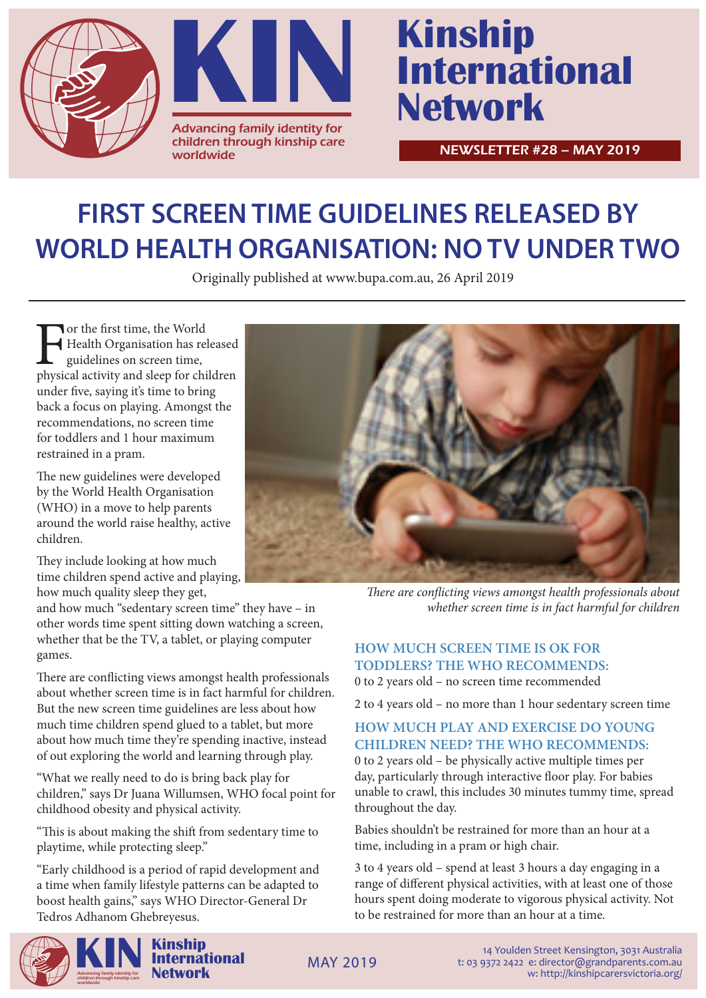



# **International Network**

NEWSLETTER #28 – MAY 2019

# **FIRST SCREEN TIME GUIDELINES RELEASED BY WORLD HEALTH ORGANISATION: NO TV UNDER TWO**

Originally published at www.bupa.com.au, 26 April 2019

For the first time, the World<br>
Health Organisation has released<br>
guidelines on screen time,<br>
physical activity and sleep for children Health Organisation has released guidelines on screen time, under five, saying it's time to bring back a focus on playing. Amongst the recommendations, no screen time for toddlers and 1 hour maximum restrained in a pram.

The new guidelines were developed by the World Health Organisation (WHO) in a move to help parents around the world raise healthy, active children.

They include looking at how much time children spend active and playing, how much quality sleep they get,

and how much "sedentary screen time" they have – in other words time spent sitting down watching a screen, whether that be the TV, a tablet, or playing computer games.

There are conflicting views amongst health professionals about whether screen time is in fact harmful for children. But the new screen time guidelines are less about how much time children spend glued to a tablet, but more about how much time they're spending inactive, instead of out exploring the world and learning through play.

"What we really need to do is bring back play for children," says Dr Juana Willumsen, WHO focal point for childhood obesity and physical activity.

"This is about making the shift from sedentary time to playtime, while protecting sleep."

"Early childhood is a period of rapid development and a time when family lifestyle patterns can be adapted to boost health gains," says WHO Director-General Dr Tedros Adhanom Ghebreyesus.



*There are conflicting views amongst health professionals about whether screen time is in fact harmful for children*

## **HOW MUCH SCREEN TIME IS OK FOR TODDLERS? THE WHO RECOMMENDS:**

0 to 2 years old – no screen time recommended

2 to 4 years old – no more than 1 hour sedentary screen time

#### **HOW MUCH PLAY AND EXERCISE DO YOUNG CHILDREN NEED? THE WHO RECOMMENDS:** 0 to 2 years old – be physically active multiple times per

day, particularly through interactive floor play. For babies unable to crawl, this includes 30 minutes tummy time, spread throughout the day.

Babies shouldn't be restrained for more than an hour at a time, including in a pram or high chair.

3 to 4 years old – spend at least 3 hours a day engaging in a range of different physical activities, with at least one of those hours spent doing moderate to vigorous physical activity. Not to be restrained for more than an hour at a time.



14 Youlden Street Kensington, 3031 Australia t: 03 9372 2422 e: director@grandparents.com.au w: http://kinshipcarersvictoria.org/